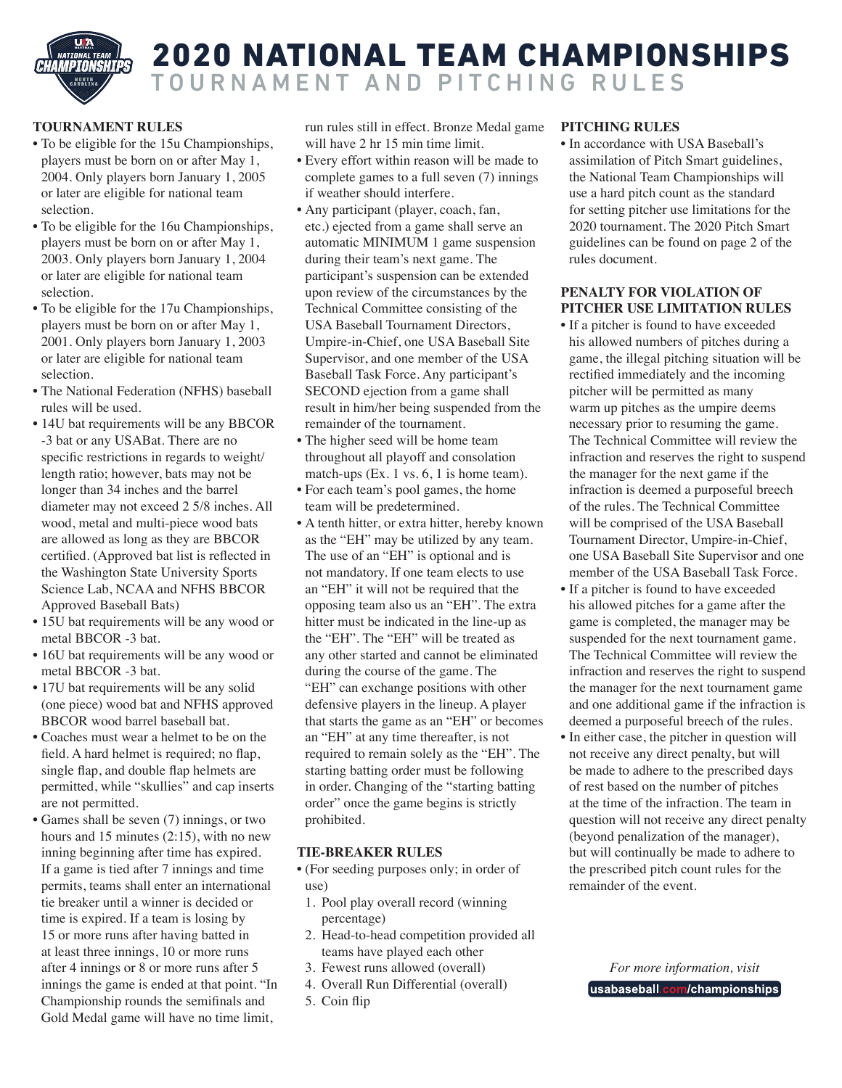

# 2020 NATIONAL TEAM CHAMPIONSHIPS TOURNAMENT AND PITCHING RULES

## **TOURNAMENT RULES**

- To be eligible for the 15u Championships, players must be born on or after May 1, 2004. Only players born January 1, 2005 or later are eligible for national team selection.
- To be eligible for the 16u Championships, players must be born on or after May 1, 2003. Only players born January 1, 2004 or later are eligible for national team selection.
- To be eligible for the 17u Championships, players must be born on or after May 1, 2001. Only players born January 1, 2003 or later are eligible for national team selection.
- The National Federation (NFHS) baseball rules will be used.
- 14U bat requirements will be any BBCOR -3 bat or any USABat. There are no specific restrictions in regards to weight/ length ratio; however, bats may not be longer than 34 inches and the barrel diameter may not exceed 2 5/8 inches. All wood, metal and multi-piece wood bats are allowed as long as they are BBCOR certified. (Approved bat list is reflected in the Washington State University Sports Science Lab, NCAA and NFHS BBCOR Approved Baseball Bats)
- 15U bat requirements will be any wood or metal BBCOR -3 bat.
- 16U bat requirements will be any wood or metal BBCOR -3 bat.
- 17U bat requirements will be any solid (one piece) wood bat and NFHS approved BBCOR wood barrel baseball bat.
- Coaches must wear a helmet to be on the field. A hard helmet is required; no flap, single flap, and double flap helmets are permitted, while "skullies" and cap inserts are not permitted.
- Games shall be seven (7) innings, or two hours and 15 minutes (2:15), with no new inning beginning after time has expired. If a game is tied after 7 innings and time permits, teams shall enter an international tie breaker until a winner is decided or time is expired. If a team is losing by 15 or more runs after having batted in at least three innings, 10 or more runs after 4 innings or 8 or more runs after 5 innings the game is ended at that point. "In Championship rounds the semifinals and Gold Medal game will have no time limit,

run rules still in effect. Bronze Medal game will have 2 hr 15 min time limit.

- Every effort within reason will be made to complete games to a full seven (7) innings if weather should interfere.
- Any participant (player, coach, fan, etc.) ejected from a game shall serve an automatic MINIMUM 1 game suspension during their team's next game. The participant's suspension can be extended upon review of the circumstances by the Technical Committee consisting of the USA Baseball Tournament Directors, Umpire-in-Chief, one USA Baseball Site Supervisor, and one member of the USA Baseball Task Force. Any participant's SECOND ejection from a game shall result in him/her being suspended from the remainder of the tournament.
- The higher seed will be home team throughout all playoff and consolation match-ups (Ex. 1 vs. 6, 1 is home team).
- For each team's pool games, the home team will be predetermined.
- A tenth hitter, or extra hitter, hereby known as the "EH" may be utilized by any team. The use of an "EH" is optional and is not mandatory. If one team elects to use an "EH" it will not be required that the opposing team also us an "EH". The extra hitter must be indicated in the line-up as the "EH". The "EH" will be treated as any other started and cannot be eliminated during the course of the game. The "EH" can exchange positions with other defensive players in the lineup. A player that starts the game as an "EH" or becomes an "EH" at any time thereafter, is not required to remain solely as the "EH". The starting batting order must be following in order. Changing of the "starting batting order" once the game begins is strictly prohibited.

### **TIE-BREAKER RULES**

- (For seeding purposes only; in order of use)
	- 1. Pool play overall record (winning percentage)
	- 2. Head-to-head competition provided all teams have played each other
	- 3. Fewest runs allowed (overall)
- 4. Overall Run Differential (overall)
- 5. Coin flip

## **PITCHING RULES**

• In accordance with USA Baseball's assimilation of Pitch Smart guidelines, the National Team Championships will use a hard pitch count as the standard for setting pitcher use limitations for the 2020 tournament. The 2020 Pitch Smart guidelines can be found on page 2 of the rules document.

#### **PENALTY FOR VIOLATION OF PITCHER USE LIMITATION RULES**

- If a pitcher is found to have exceeded his allowed numbers of pitches during a game, the illegal pitching situation will be rectified immediately and the incoming pitcher will be permitted as many warm up pitches as the umpire deems necessary prior to resuming the game. The Technical Committee will review the infraction and reserves the right to suspend the manager for the next game if the infraction is deemed a purposeful breech of the rules. The Technical Committee will be comprised of the USA Baseball Tournament Director, Umpire-in-Chief, one USA Baseball Site Supervisor and one member of the USA Baseball Task Force.
- If a pitcher is found to have exceeded his allowed pitches for a game after the game is completed, the manager may be suspended for the next tournament game. The Technical Committee will review the infraction and reserves the right to suspend the manager for the next tournament game and one additional game if the infraction is deemed a purposeful breech of the rules.
- In either case, the pitcher in question will not receive any direct penalty, but will be made to adhere to the prescribed days of rest based on the number of pitches at the time of the infraction. The team in question will not receive any direct penalty (beyond penalization of the manager), but will continually be made to adhere to the prescribed pitch count rules for the remainder of the event.